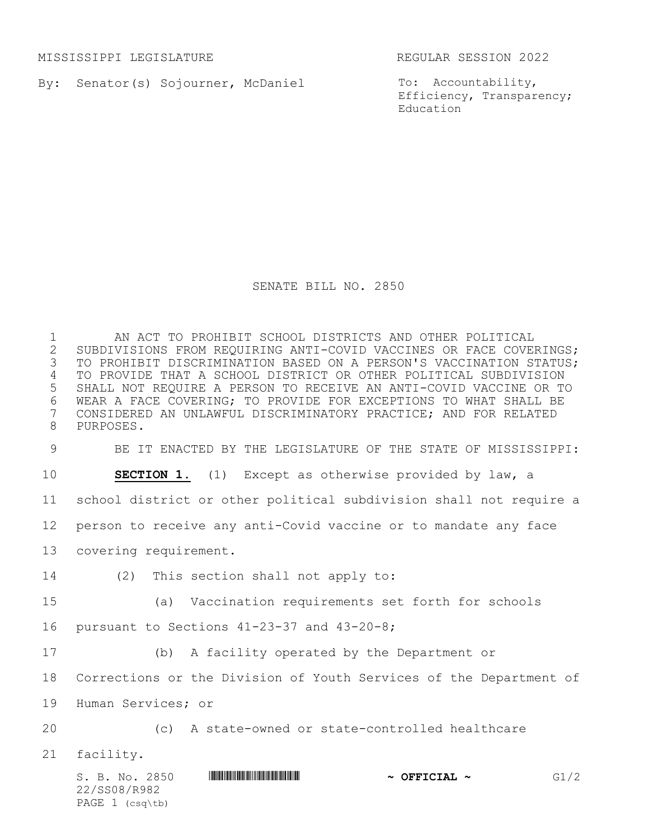MISSISSIPPI LEGISLATURE REGULAR SESSION 2022

By: Senator(s) Sojourner, McDaniel

To: Accountability, Efficiency, Transparency; Education

## SENATE BILL NO. 2850

 AN ACT TO PROHIBIT SCHOOL DISTRICTS AND OTHER POLITICAL SUBDIVISIONS FROM REQUIRING ANTI-COVID VACCINES OR FACE COVERINGS; TO PROHIBIT DISCRIMINATION BASED ON A PERSON'S VACCINATION STATUS; TO PROVIDE THAT A SCHOOL DISTRICT OR OTHER POLITICAL SUBDIVISION SHALL NOT REQUIRE A PERSON TO RECEIVE AN ANTI-COVID VACCINE OR TO 6 WEAR A FACE COVERING; TO PROVIDE FOR EXCEPTIONS TO WHAT SHALL BE<br>7 CONSIDERED AN UNLAWFUL DISCRIMINATORY PRACTICE; AND FOR RELATED CONSIDERED AN UNLAWFUL DISCRIMINATORY PRACTICE; AND FOR RELATED PURPOSES.

BE IT ENACTED BY THE LEGISLATURE OF THE STATE OF MISSISSIPPI:

**SECTION 1.** (1) Except as otherwise provided by law, a

school district or other political subdivision shall not require a

person to receive any anti-Covid vaccine or to mandate any face

- covering requirement.
- (2) This section shall not apply to:
- (a) Vaccination requirements set forth for schools
- pursuant to Sections 41-23-37 and 43-20-8;
- (b) A facility operated by the Department or

Corrections or the Division of Youth Services of the Department of

Human Services; or

(c) A state-owned or state-controlled healthcare

facility.

S. B. No. 2850 \*SS08/R982\* **~ OFFICIAL ~** G1/2 22/SS08/R982 PAGE 1 (csq\tb)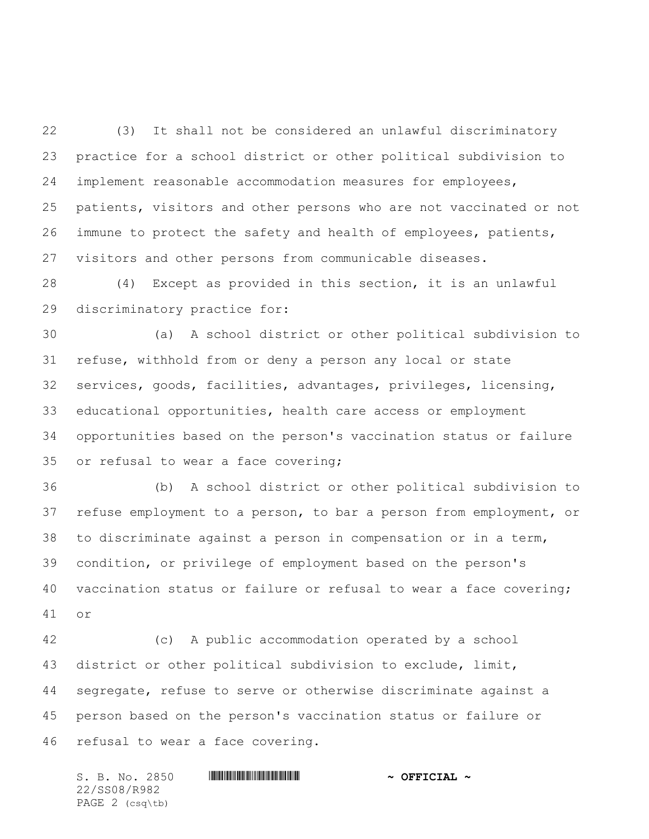(3) It shall not be considered an unlawful discriminatory practice for a school district or other political subdivision to implement reasonable accommodation measures for employees, patients, visitors and other persons who are not vaccinated or not immune to protect the safety and health of employees, patients, visitors and other persons from communicable diseases.

 (4) Except as provided in this section, it is an unlawful discriminatory practice for:

 (a) A school district or other political subdivision to refuse, withhold from or deny a person any local or state services, goods, facilities, advantages, privileges, licensing, educational opportunities, health care access or employment opportunities based on the person's vaccination status or failure or refusal to wear a face covering;

 (b) A school district or other political subdivision to refuse employment to a person, to bar a person from employment, or to discriminate against a person in compensation or in a term, condition, or privilege of employment based on the person's vaccination status or failure or refusal to wear a face covering; or

 (c) A public accommodation operated by a school district or other political subdivision to exclude, limit, segregate, refuse to serve or otherwise discriminate against a person based on the person's vaccination status or failure or refusal to wear a face covering.

S. B. No. 2850 \*SS08/R982\* **~ OFFICIAL ~** 22/SS08/R982 PAGE 2 (csq\tb)